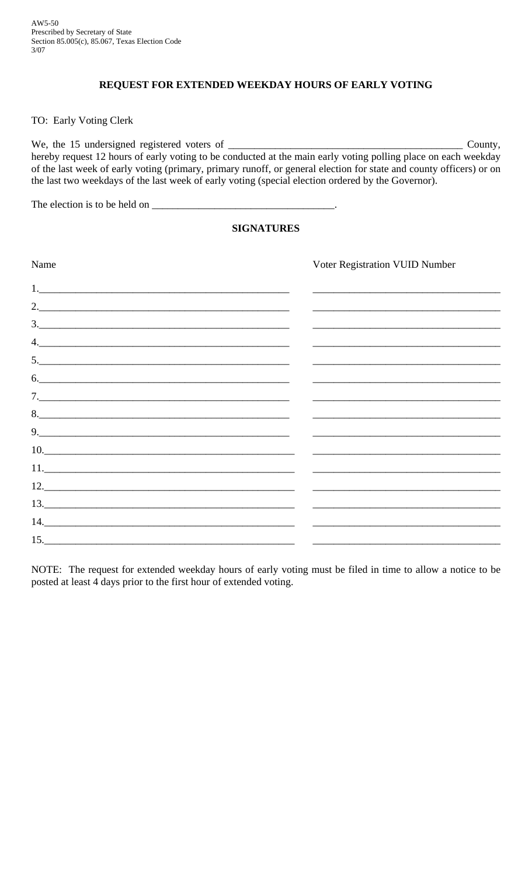## **REQUEST FOR EXTENDED WEEKDAY HOURS OF EARLY VOTING**

TO: Early Voting Clerk

We, the 15 undersigned registered voters of \_\_\_\_\_\_\_\_\_\_\_\_\_\_\_\_\_\_\_\_\_\_\_\_\_\_\_\_\_\_\_\_\_\_\_\_\_\_\_\_\_\_\_\_\_ County, hereby request 12 hours of early voting to be conducted at the main early voting polling place on each weekday of the last week of early voting (primary, primary runoff, or general election for state and county officers) or on the last two weekdays of the last week of early voting (special election ordered by the Governor).

The election is to be held on \_\_\_\_\_\_\_\_\_\_\_\_\_\_\_\_\_\_\_\_\_\_\_\_\_\_\_\_\_\_\_\_\_\_\_.

## **SIGNATURES**

| Name                                                      | Voter Registration VUID Number                             |
|-----------------------------------------------------------|------------------------------------------------------------|
|                                                           |                                                            |
| 2.                                                        |                                                            |
| $\frac{3}{2}$                                             |                                                            |
| 4.                                                        |                                                            |
| $\begin{array}{c}\n5. & \phantom{2\sqrt{3}}\n\end{array}$ |                                                            |
| 6.                                                        |                                                            |
|                                                           |                                                            |
|                                                           |                                                            |
| 9.                                                        | <u> 1989 - Johann Stoff, amerikansk politiker (* 1908)</u> |
| 10.                                                       |                                                            |
|                                                           |                                                            |
|                                                           |                                                            |
| 13.                                                       |                                                            |
|                                                           |                                                            |
| 15.                                                       |                                                            |

NOTE: The request for extended weekday hours of early voting must be filed in time to allow a notice to be posted at least 4 days prior to the first hour of extended voting.